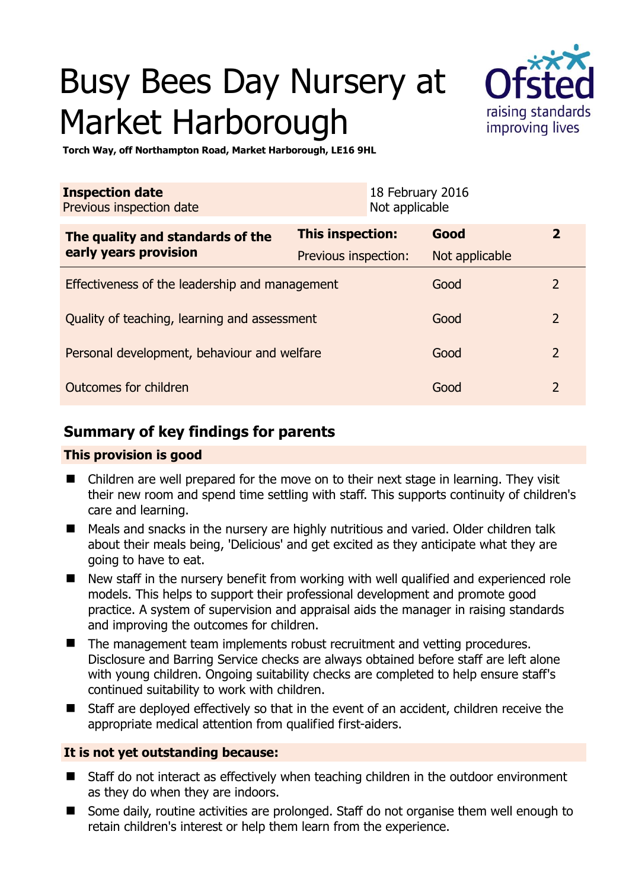# Busy Bees Day Nursery at Market Harborough



**Torch Way, off Northampton Road, Market Harborough, LE16 9HL** 

| <b>Inspection date</b><br>Previous inspection date |                      | 18 February 2016<br>Not applicable |                |                |
|----------------------------------------------------|----------------------|------------------------------------|----------------|----------------|
| The quality and standards of the                   | This inspection:     |                                    | Good           | $\overline{2}$ |
| early years provision                              | Previous inspection: |                                    | Not applicable |                |
| Effectiveness of the leadership and management     |                      |                                    | Good           | 2              |
| Quality of teaching, learning and assessment       |                      |                                    | Good           | $\overline{2}$ |
| Personal development, behaviour and welfare        |                      |                                    | Good           | $\overline{2}$ |
| Outcomes for children                              |                      |                                    | Good           | $\overline{2}$ |

## **Summary of key findings for parents**

#### **This provision is good**

- Children are well prepared for the move on to their next stage in learning. They visit their new room and spend time settling with staff. This supports continuity of children's care and learning.
- Meals and snacks in the nursery are highly nutritious and varied. Older children talk about their meals being, 'Delicious' and get excited as they anticipate what they are going to have to eat.
- New staff in the nursery benefit from working with well qualified and experienced role models. This helps to support their professional development and promote good practice. A system of supervision and appraisal aids the manager in raising standards and improving the outcomes for children.
- The management team implements robust recruitment and vetting procedures. Disclosure and Barring Service checks are always obtained before staff are left alone with young children. Ongoing suitability checks are completed to help ensure staff's continued suitability to work with children.
- Staff are deployed effectively so that in the event of an accident, children receive the appropriate medical attention from qualified first-aiders.

### **It is not yet outstanding because:**

- Staff do not interact as effectively when teaching children in the outdoor environment as they do when they are indoors.
- Some daily, routine activities are prolonged. Staff do not organise them well enough to retain children's interest or help them learn from the experience.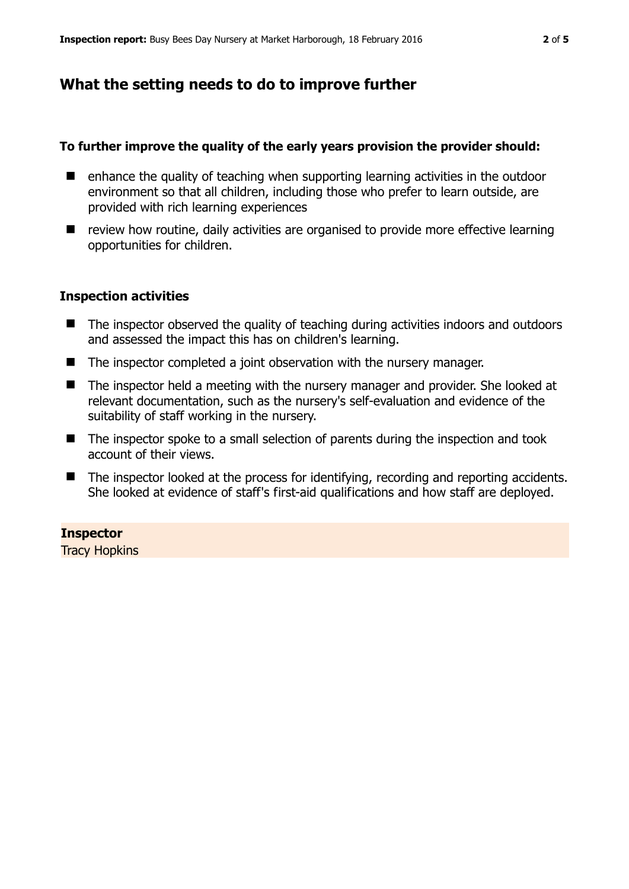## **What the setting needs to do to improve further**

#### **To further improve the quality of the early years provision the provider should:**

- $\blacksquare$  enhance the quality of teaching when supporting learning activities in the outdoor environment so that all children, including those who prefer to learn outside, are provided with rich learning experiences
- review how routine, daily activities are organised to provide more effective learning opportunities for children.

#### **Inspection activities**

- The inspector observed the quality of teaching during activities indoors and outdoors and assessed the impact this has on children's learning.
- The inspector completed a joint observation with the nursery manager.
- The inspector held a meeting with the nursery manager and provider. She looked at relevant documentation, such as the nursery's self-evaluation and evidence of the suitability of staff working in the nursery.
- The inspector spoke to a small selection of parents during the inspection and took account of their views.
- The inspector looked at the process for identifying, recording and reporting accidents. She looked at evidence of staff's first-aid qualifications and how staff are deployed.

#### **Inspector**

Tracy Hopkins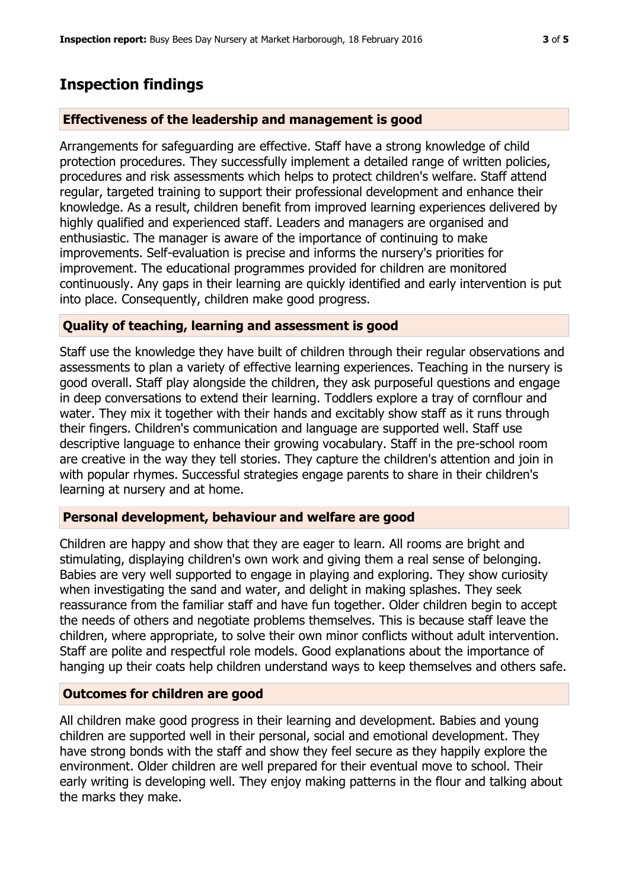## **Inspection findings**

#### **Effectiveness of the leadership and management is good**

Arrangements for safeguarding are effective. Staff have a strong knowledge of child protection procedures. They successfully implement a detailed range of written policies, procedures and risk assessments which helps to protect children's welfare. Staff attend regular, targeted training to support their professional development and enhance their knowledge. As a result, children benefit from improved learning experiences delivered by highly qualified and experienced staff. Leaders and managers are organised and enthusiastic. The manager is aware of the importance of continuing to make improvements. Self-evaluation is precise and informs the nursery's priorities for improvement. The educational programmes provided for children are monitored continuously. Any gaps in their learning are quickly identified and early intervention is put into place. Consequently, children make good progress.

#### **Quality of teaching, learning and assessment is good**

Staff use the knowledge they have built of children through their regular observations and assessments to plan a variety of effective learning experiences. Teaching in the nursery is good overall. Staff play alongside the children, they ask purposeful questions and engage in deep conversations to extend their learning. Toddlers explore a tray of cornflour and water. They mix it together with their hands and excitably show staff as it runs through their fingers. Children's communication and language are supported well. Staff use descriptive language to enhance their growing vocabulary. Staff in the pre-school room are creative in the way they tell stories. They capture the children's attention and join in with popular rhymes. Successful strategies engage parents to share in their children's learning at nursery and at home.

#### **Personal development, behaviour and welfare are good**

Children are happy and show that they are eager to learn. All rooms are bright and stimulating, displaying children's own work and giving them a real sense of belonging. Babies are very well supported to engage in playing and exploring. They show curiosity when investigating the sand and water, and delight in making splashes. They seek reassurance from the familiar staff and have fun together. Older children begin to accept the needs of others and negotiate problems themselves. This is because staff leave the children, where appropriate, to solve their own minor conflicts without adult intervention. Staff are polite and respectful role models. Good explanations about the importance of hanging up their coats help children understand ways to keep themselves and others safe.

#### **Outcomes for children are good**

All children make good progress in their learning and development. Babies and young children are supported well in their personal, social and emotional development. They have strong bonds with the staff and show they feel secure as they happily explore the environment. Older children are well prepared for their eventual move to school. Their early writing is developing well. They enjoy making patterns in the flour and talking about the marks they make.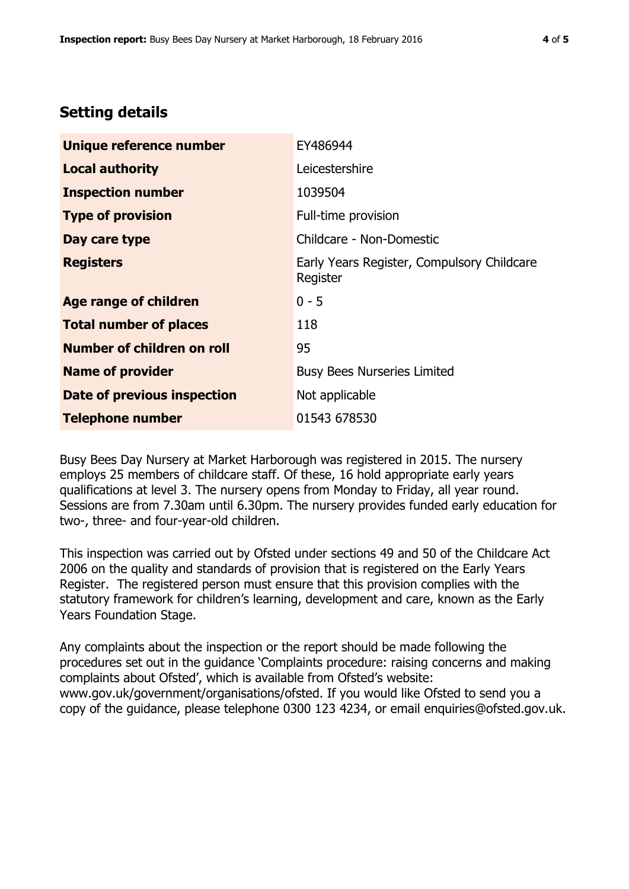## **Setting details**

| Unique reference number       | EY486944                                               |  |
|-------------------------------|--------------------------------------------------------|--|
| <b>Local authority</b>        | Leicestershire                                         |  |
| <b>Inspection number</b>      | 1039504                                                |  |
| <b>Type of provision</b>      | Full-time provision                                    |  |
| Day care type                 | Childcare - Non-Domestic                               |  |
| <b>Registers</b>              | Early Years Register, Compulsory Childcare<br>Register |  |
| <b>Age range of children</b>  | $0 - 5$                                                |  |
| <b>Total number of places</b> | 118                                                    |  |
| Number of children on roll    | 95                                                     |  |
| <b>Name of provider</b>       | <b>Busy Bees Nurseries Limited</b>                     |  |
| Date of previous inspection   | Not applicable                                         |  |
| <b>Telephone number</b>       | 01543 678530                                           |  |

Busy Bees Day Nursery at Market Harborough was registered in 2015. The nursery employs 25 members of childcare staff. Of these, 16 hold appropriate early years qualifications at level 3. The nursery opens from Monday to Friday, all year round. Sessions are from 7.30am until 6.30pm. The nursery provides funded early education for two-, three- and four-year-old children.

This inspection was carried out by Ofsted under sections 49 and 50 of the Childcare Act 2006 on the quality and standards of provision that is registered on the Early Years Register. The registered person must ensure that this provision complies with the statutory framework for children's learning, development and care, known as the Early Years Foundation Stage.

Any complaints about the inspection or the report should be made following the procedures set out in the guidance 'Complaints procedure: raising concerns and making complaints about Ofsted', which is available from Ofsted's website: www.gov.uk/government/organisations/ofsted. If you would like Ofsted to send you a copy of the guidance, please telephone 0300 123 4234, or email enquiries@ofsted.gov.uk.